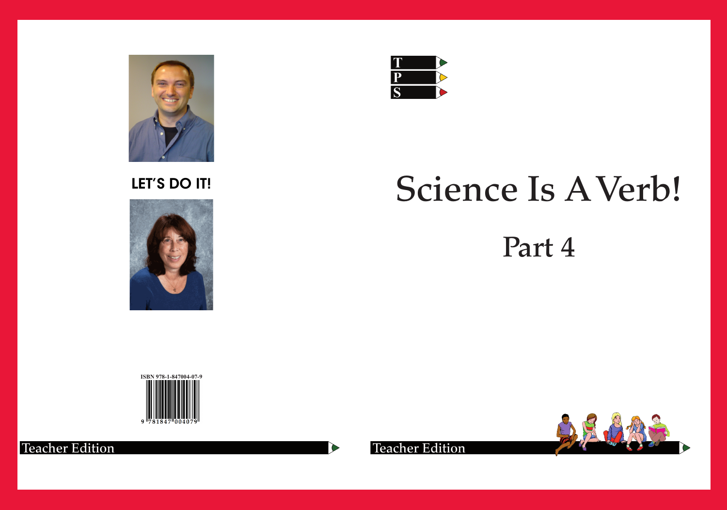

# LET'S DO IT!



# Science Is A Verb!





 $\sum_{i=1}^{n}$ 

**Teacher Edition** 

# Part 4





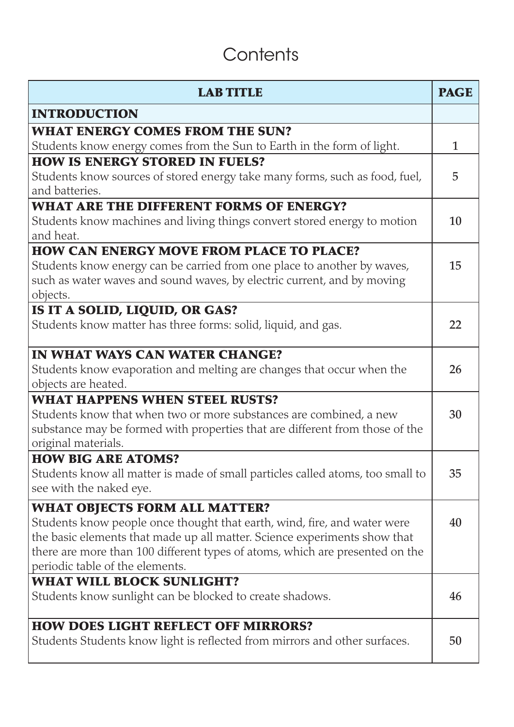## **Contents**

| <b>LAB TITLE</b>                                                                      | <b>PAGE</b> |
|---------------------------------------------------------------------------------------|-------------|
| <b>INTRODUCTION</b>                                                                   |             |
| <b>WHAT ENERGY COMES FROM THE SUN?</b>                                                |             |
| Students know energy comes from the Sun to Earth in the form of light.                | 1           |
| <b>HOW IS ENERGY STORED IN FUELS?</b>                                                 |             |
| Students know sources of stored energy take many forms, such as food, fuel,           | 5           |
| and batteries.                                                                        |             |
| <b>WHAT ARE THE DIFFERENT FORMS OF ENERGY?</b>                                        |             |
| Students know machines and living things convert stored energy to motion<br>and heat. | 10          |
| <b>HOW CAN ENERGY MOVE FROM PLACE TO PLACE?</b>                                       |             |
| Students know energy can be carried from one place to another by waves,               | 15          |
| such as water waves and sound waves, by electric current, and by moving               |             |
| objects.                                                                              |             |
| IS IT A SOLID, LIQUID, OR GAS?                                                        |             |
| Students know matter has three forms: solid, liquid, and gas.                         | 22          |
| IN WHAT WAYS CAN WATER CHANGE?                                                        |             |
| Students know evaporation and melting are changes that occur when the                 | 26          |
| objects are heated.                                                                   |             |
| <b>WHAT HAPPENS WHEN STEEL RUSTS?</b>                                                 |             |
| Students know that when two or more substances are combined, a new                    | 30          |
| substance may be formed with properties that are different from those of the          |             |
| original materials.                                                                   |             |
| <b>HOW BIG ARE ATOMS?</b>                                                             |             |
| Students know all matter is made of small particles called atoms, too small to        | 35          |
| see with the naked eye.                                                               |             |
| <b>WHAT OBJECTS FORM ALL MATTER?</b>                                                  |             |
| Students know people once thought that earth, wind, fire, and water were              | 40          |
| the basic elements that made up all matter. Science experiments show that             |             |
| there are more than 100 different types of atoms, which are presented on the          |             |
| periodic table of the elements.                                                       |             |
| <b>WHAT WILL BLOCK SUNLIGHT?</b>                                                      |             |
| Students know sunlight can be blocked to create shadows.                              | 46          |
| <b>HOW DOES LIGHT REFLECT OFF MIRRORS?</b>                                            |             |
| Students Students know light is reflected from mirrors and other surfaces.            | 50          |
|                                                                                       |             |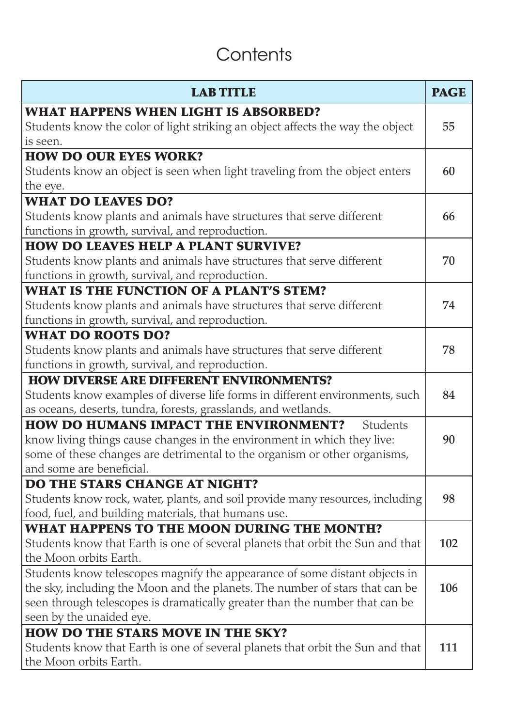# **Contents**

| <b>LAB TITLE</b>                                                               | <b>PAGE</b> |
|--------------------------------------------------------------------------------|-------------|
| <b>WHAT HAPPENS WHEN LIGHT IS ABSORBED?</b>                                    |             |
| Students know the color of light striking an object affects the way the object | 55          |
| is seen.                                                                       |             |
| <b>HOW DO OUR EYES WORK?</b>                                                   |             |
| Students know an object is seen when light traveling from the object enters    | 60          |
| the eye.                                                                       |             |
| <b>WHAT DO LEAVES DO?</b>                                                      |             |
| Students know plants and animals have structures that serve different          | 66          |
| functions in growth, survival, and reproduction.                               |             |
| <b>HOW DO LEAVES HELP A PLANT SURVIVE?</b>                                     |             |
| Students know plants and animals have structures that serve different          | 70          |
| functions in growth, survival, and reproduction.                               |             |
| <b>WHAT IS THE FUNCTION OF A PLANT'S STEM?</b>                                 |             |
| Students know plants and animals have structures that serve different          | 74          |
| functions in growth, survival, and reproduction.                               |             |
| <b>WHAT DO ROOTS DO?</b>                                                       |             |
| Students know plants and animals have structures that serve different          | 78          |
| functions in growth, survival, and reproduction.                               |             |
| <b>HOW DIVERSE ARE DIFFERENT ENVIRONMENTS?</b>                                 |             |
| Students know examples of diverse life forms in different environments, such   | 84          |
| as oceans, deserts, tundra, forests, grasslands, and wetlands.                 |             |
| <b>HOW DO HUMANS IMPACT THE ENVIRONMENT?</b><br>Students                       |             |
| know living things cause changes in the environment in which they live:        | 90          |
| some of these changes are detrimental to the organism or other organisms,      |             |
| and some are beneficial.                                                       |             |
| <b>DO THE STARS CHANGE AT NIGHT?</b>                                           |             |
| Students know rock, water, plants, and soil provide many resources, including  | 98          |
| food, fuel, and building materials, that humans use.                           |             |
| <b>WHAT HAPPENS TO THE MOON DURING THE MONTH?</b>                              |             |
| Students know that Earth is one of several planets that orbit the Sun and that | 102         |
| the Moon orbits Earth.                                                         |             |
| Students know telescopes magnify the appearance of some distant objects in     |             |
| the sky, including the Moon and the planets. The number of stars that can be   | 106         |
| seen through telescopes is dramatically greater than the number that can be    |             |
| seen by the unaided eye.                                                       |             |
| <b>HOW DO THE STARS MOVE IN THE SKY?</b>                                       |             |
| Students know that Earth is one of several planets that orbit the Sun and that | 111         |
| the Moon orbits Earth.                                                         |             |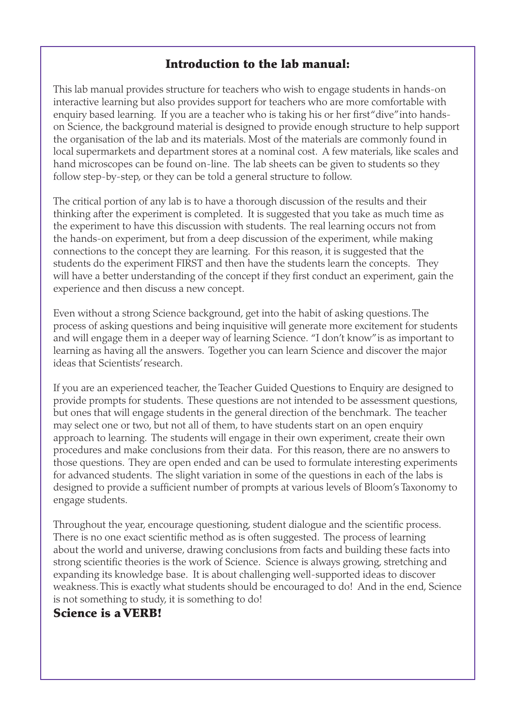#### Introduction to the lab manual:

This lab manual provides structure for teachers who wish to engage students in hands-on interactive learning but also provides support for teachers who are more comfortable with enquiry based learning. If you are a teacher who is taking his or her first "dive" into handson Science, the background material is designed to provide enough structure to help support the organisation of the lab and its materials. Most of the materials are commonly found in local supermarkets and department stores at a nominal cost. A few materials, like scales and hand microscopes can be found on-line. The lab sheets can be given to students so they follow step-by-step, or they can be told a general structure to follow.

The critical portion of any lab is to have a thorough discussion of the results and their thinking after the experiment is completed. It is suggested that you take as much time as the experiment to have this discussion with students. The real learning occurs not from the hands-on experiment, but from a deep discussion of the experiment, while making connections to the concept they are learning. For this reason, it is suggested that the students do the experiment FIRST and then have the students learn the concepts. They will have a better understanding of the concept if they first conduct an experiment, gain the experience and then discuss a new concept.

Even without a strong Science background, get into the habit of asking questions. The process of asking questions and being inquisitive will generate more excitement for students and will engage them in a deeper way of learning Science. "I don't know" is as important to learning as having all the answers. Together you can learn Science and discover the major ideas that Scientists' research.

If you are an experienced teacher, the Teacher Guided Questions to Enquiry are designed to provide prompts for students. These questions are not intended to be assessment questions, but ones that will engage students in the general direction of the benchmark. The teacher may select one or two, but not all of them, to have students start on an open enquiry approach to learning. The students will engage in their own experiment, create their own procedures and make conclusions from their data. For this reason, there are no answers to those questions. They are open ended and can be used to formulate interesting experiments for advanced students. The slight variation in some of the questions in each of the labs is designed to provide a sufficient number of prompts at various levels of Bloom's Taxonomy to engage students.

Throughout the year, encourage questioning, student dialogue and the scientific process. There is no one exact scientific method as is often suggested. The process of learning about the world and universe, drawing conclusions from facts and building these facts into strong scientific theories is the work of Science. Science is always growing, stretching and expanding its knowledge base. It is about challenging well-supported ideas to discover weakness. This is exactly what students should be encouraged to do! And in the end, Science is not something to study, it is something to do!

#### Science is a VERB!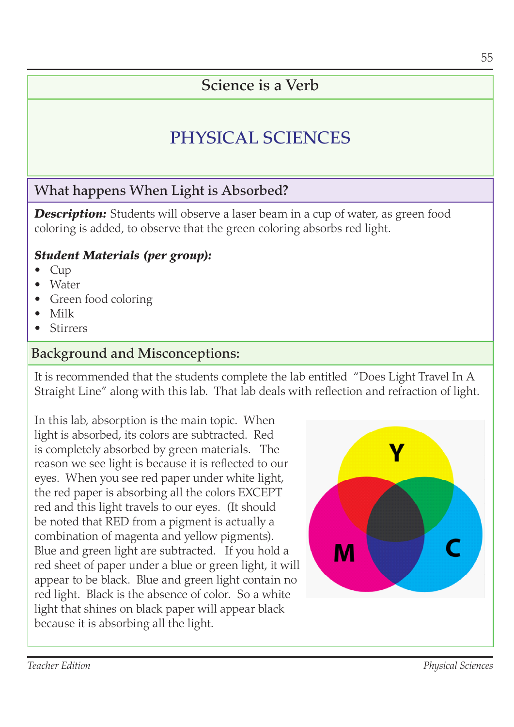#### Science is a Verb

## PHYSICAL SCIENCES

#### What happens When Light is Absorbed?

**Description:** Students will observe a laser beam in a cup of water, as green food coloring is added, to observe that the green coloring absorbs red light.

#### *Student Materials (per group):*

- Cup •
- Water •
- Green food coloring •
- Milk •
- Stirrers •

#### Background and Misconceptions:

It is recommended that the students complete the lab entitled "Does Light Travel In A Straight Line" along with this lab. That lab deals with reflection and refraction of light.

In this lab, absorption is the main topic. When light is absorbed, its colors are subtracted. Red is completely absorbed by green materials. The reason we see light is because it is reflected to our eyes. When you see red paper under white light, the red paper is absorbing all the colors EXCEPT red and this light travels to our eyes. (It should be noted that RED from a pigment is actually a combination of magenta and yellow pigments). Blue and green light are subtracted. If you hold a red sheet of paper under a blue or green light, it will appear to be black. Blue and green light contain no red light. Black is the absence of color. So a white light that shines on black paper will appear black because it is absorbing all the light.

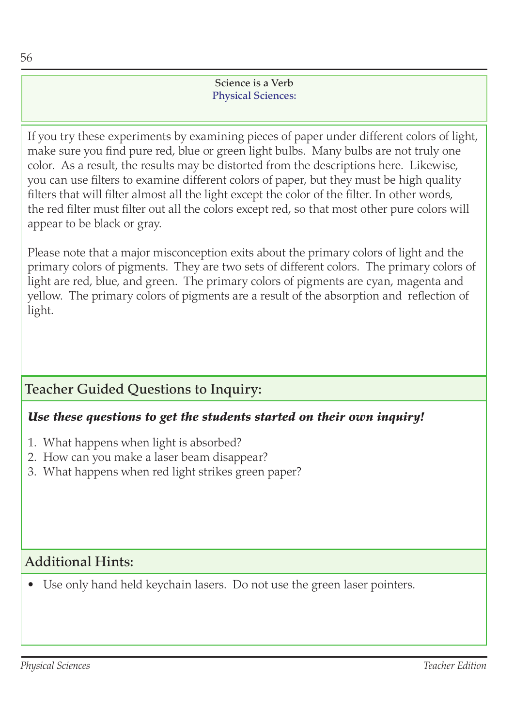#### Science is a Verb Physical Sciences:

If you try these experiments by examining pieces of paper under different colors of light, make sure you find pure red, blue or green light bulbs. Many bulbs are not truly one color. As a result, the results may be distorted from the descriptions here. Likewise, you can use filters to examine different colors of paper, but they must be high quality filters that will filter almost all the light except the color of the filter. In other words, the red filter must filter out all the colors except red, so that most other pure colors will appear to be black or gray.

Please note that a major misconception exits about the primary colors of light and the primary colors of pigments. They are two sets of different colors. The primary colors of light are red, blue, and green. The primary colors of pigments are cyan, magenta and yellow. The primary colors of pigments are a result of the absorption and reflection of light.

#### Teacher Guided Questions to Inquiry:

#### *Use these questions to get the students started on their own inquiry!*

- What happens when light is absorbed? 1.
- 2. How can you make a laser beam disappear?
- What happens when red light strikes green paper? 3.

#### Additional Hints:

• Use only hand held keychain lasers. Do not use the green laser pointers.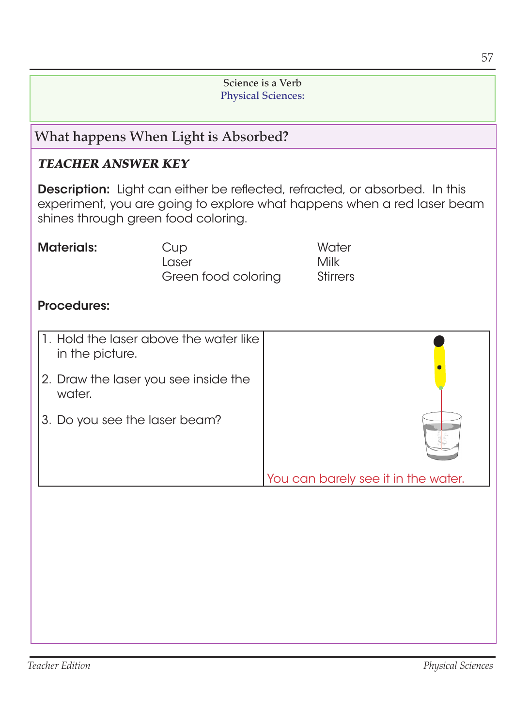#### Science is a Verb Physical Sciences:

#### What happens When Light is Absorbed?

#### *TEACHER ANSWER KEY*

Description: Light can either be reflected, refracted, or absorbed. In this experiment, you are going to explore what happens when a red laser beam shines through green food coloring.

| <b>Materials:</b> | Cup                 | Water           |
|-------------------|---------------------|-----------------|
|                   | Laser               | Milk            |
|                   | Green food coloring | <b>Stirrers</b> |

#### Procedures:

| 1. Hold the laser above the water like  <br>in the picture. |                                     |
|-------------------------------------------------------------|-------------------------------------|
| 2. Draw the laser you see inside the<br>water.              |                                     |
| 3. Do you see the laser beam?                               |                                     |
|                                                             | You can barely see it in the water. |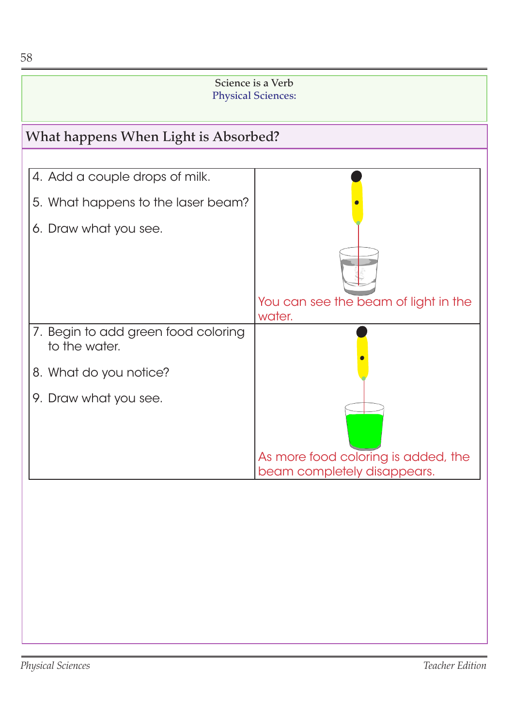